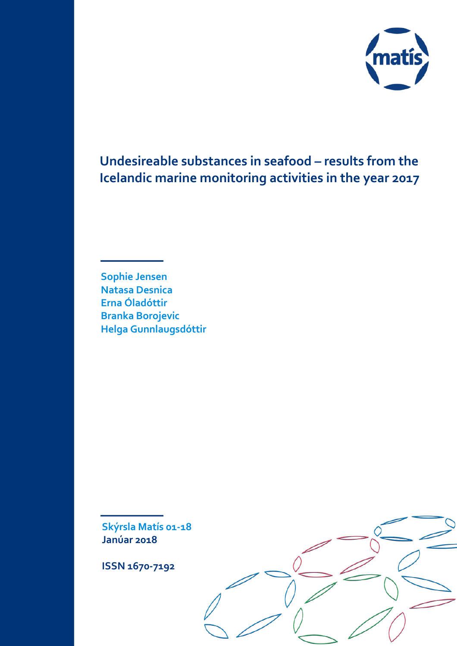

# **Undesireable substances in seafood – results from the Icelandic marine monitoring activities in the year 2017**

**Sophie Jensen Natasa Desnica Erna Óladóttir Branka Borojevic Helga Gunnlaugsdóttir**

**Skýrsla Matís 01-18 Janúar 2018**

**ISSN 1670-7192**

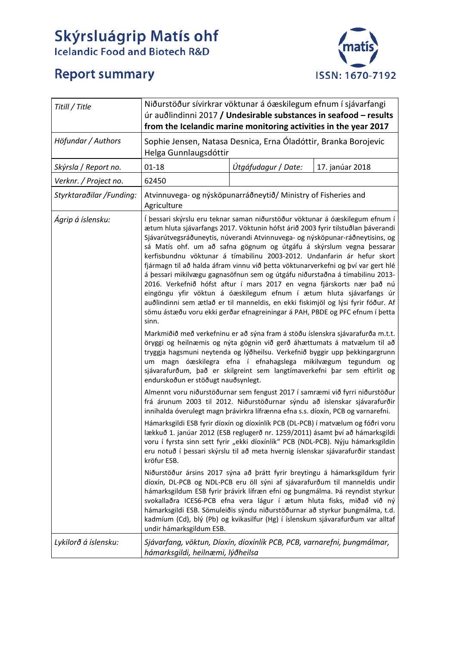# **Skýrsluágrip Matís ohf**<br>Icelandic Food and Biotech R&D



# **Report summary**

| Titill / Title           | Niðurstöður sívirkrar vöktunar á óæskilegum efnum í sjávarfangi<br>úr auðlindinni 2017 / Undesirable substances in seafood - results<br>from the Icelandic marine monitoring activities in the year 2017                                                                                                                                                                                                                                                                                                                                                                                                                                                                                                                                                                                                                                                                                                |                     |                 |
|--------------------------|---------------------------------------------------------------------------------------------------------------------------------------------------------------------------------------------------------------------------------------------------------------------------------------------------------------------------------------------------------------------------------------------------------------------------------------------------------------------------------------------------------------------------------------------------------------------------------------------------------------------------------------------------------------------------------------------------------------------------------------------------------------------------------------------------------------------------------------------------------------------------------------------------------|---------------------|-----------------|
| Höfundar / Authors       | Sophie Jensen, Natasa Desnica, Erna Óladóttir, Branka Borojevic<br>Helga Gunnlaugsdóttir                                                                                                                                                                                                                                                                                                                                                                                                                                                                                                                                                                                                                                                                                                                                                                                                                |                     |                 |
| Skýrsla / Report no.     | $01 - 18$                                                                                                                                                                                                                                                                                                                                                                                                                                                                                                                                                                                                                                                                                                                                                                                                                                                                                               | Útgáfudagur / Date: | 17. janúar 2018 |
| Verknr. / Project no.    | 62450                                                                                                                                                                                                                                                                                                                                                                                                                                                                                                                                                                                                                                                                                                                                                                                                                                                                                                   |                     |                 |
| Styrktaraðilar /Funding: | Atvinnuvega- og nýsköpunarráðneytið/ Ministry of Fisheries and<br>Agriculture                                                                                                                                                                                                                                                                                                                                                                                                                                                                                                                                                                                                                                                                                                                                                                                                                           |                     |                 |
| Ágrip á íslensku:        | Í þessari skýrslu eru teknar saman niðurstöður vöktunar á óæskilegum efnum í<br>ætum hluta sjávarfangs 2017. Vöktunin hófst árið 2003 fyrir tilstuðlan þáverandi<br>Sjávarútvegsráðuneytis, núverandi Atvinnuvega- og nýsköpunar-ráðneytisins, og<br>sá Matís ohf. um að safna gögnum og útgáfu á skýrslum vegna þessarar<br>kerfisbundnu vöktunar á tímabilinu 2003-2012. Undanfarin ár hefur skort<br>fjármagn til að halda áfram vinnu við þetta vöktunarverkefni og því var gert hlé<br>á þessari mikilvægu gagnasöfnun sem og útgáfu niðurstaðna á tímabilinu 2013-<br>2016. Verkefnið hófst aftur í mars 2017 en vegna fjárskorts nær það nú<br>eingöngu yfir vöktun á óæskilegum efnum í ætum hluta sjávarfangs úr<br>auðlindinni sem ætlað er til manneldis, en ekki fiskimjöl og lýsi fyrir fóður. Af<br>sömu ástæðu voru ekki gerðar efnagreiningar á PAH, PBDE og PFC efnum í þetta<br>sinn. |                     |                 |
|                          | Markmiðið með verkefninu er að sýna fram á stöðu íslenskra sjávarafurða m.t.t.<br>öryggi og heilnæmis og nýta gögnin við gerð áhættumats á matvælum til að<br>tryggja hagsmuni neytenda og lýðheilsu. Verkefnið byggir upp þekkingargrunn<br>um magn óæskilegra efna í efnahagslega mikilvægum tegundum og<br>sjávarafurðum, það er skilgreint sem langtímaverkefni þar sem eftirlit og<br>endurskoðun er stöðugt nauðsynlegt.                                                                                                                                                                                                                                                                                                                                                                                                                                                                          |                     |                 |
|                          | Almennt voru niðurstöðurnar sem fengust 2017 í samræmi við fyrri niðurstöður<br>frá árunum 2003 til 2012. Niðurstöðurnar sýndu að íslenskar sjávarafurðir<br>innihalda óverulegt magn þrávirkra lífrænna efna s.s. díoxín, PCB og varnarefni.                                                                                                                                                                                                                                                                                                                                                                                                                                                                                                                                                                                                                                                           |                     |                 |
|                          | Hámarksgildi ESB fyrir díoxín og díoxínlík PCB (DL-PCB) í matvælum og fóðri voru<br>lækkuð 1. janúar 2012 (ESB reglugerð nr. 1259/2011) ásamt því að hámarksgildi<br>voru í fyrsta sinn sett fyrir "ekki díoxínlík" PCB (NDL-PCB). Nýju hámarksgildin<br>eru notuð í þessari skýrslu til að meta hvernig íslenskar sjávarafurðir standast<br>kröfur ESB.                                                                                                                                                                                                                                                                                                                                                                                                                                                                                                                                                |                     |                 |
|                          | Niðurstöður ársins 2017 sýna að þrátt fyrir breytingu á hámarksgildum fyrir<br>díoxín, DL-PCB og NDL-PCB eru öll sýni af sjávarafurðum til manneldis undir<br>hámarksgildum ESB fyrir þrávirk lífræn efni og þungmálma. Þá reyndist styrkur<br>svokallaðra ICES6-PCB efna vera lágur í ætum hluta fisks, miðað við ný<br>hámarksgildi ESB. Sömuleiðis sýndu niðurstöðurnar að styrkur þungmálma, t.d.<br>kadmíum (Cd), blý (Pb) og kvikasilfur (Hg) í íslenskum sjávarafurðum var alltaf<br>undir hámarksgildum ESB.                                                                                                                                                                                                                                                                                                                                                                                    |                     |                 |
| Lykilorð á íslensku:     | Sjávarfang, vöktun, Díoxín, díoxínlík PCB, PCB, varnarefni, þungmálmar,<br>hámarksgildi, heilnæmi, lýðheilsa                                                                                                                                                                                                                                                                                                                                                                                                                                                                                                                                                                                                                                                                                                                                                                                            |                     |                 |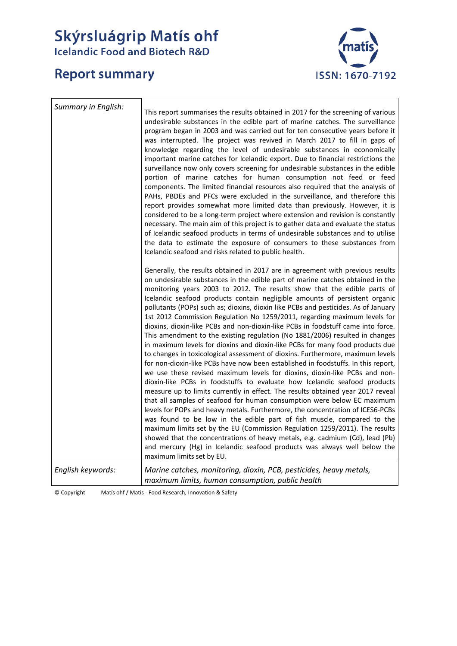# **Skýrsluágrip Matís ohf**<br>Icelandic Food and Biotech R&D

# **Report summary**



| Summary in English: | This report summarises the results obtained in 2017 for the screening of various<br>undesirable substances in the edible part of marine catches. The surveillance<br>program began in 2003 and was carried out for ten consecutive years before it<br>was interrupted. The project was revived in March 2017 to fill in gaps of<br>knowledge regarding the level of undesirable substances in economically<br>important marine catches for Icelandic export. Due to financial restrictions the<br>surveillance now only covers screening for undesirable substances in the edible<br>portion of marine catches for human consumption not feed or feed<br>components. The limited financial resources also required that the analysis of<br>PAHs, PBDEs and PFCs were excluded in the surveillance, and therefore this<br>report provides somewhat more limited data than previously. However, it is<br>considered to be a long-term project where extension and revision is constantly<br>necessary. The main aim of this project is to gather data and evaluate the status<br>of Icelandic seafood products in terms of undesirable substances and to utilise<br>the data to estimate the exposure of consumers to these substances from<br>Icelandic seafood and risks related to public health.                                                                                                                                                                                                                                                                                                                                                                                      |
|---------------------|-----------------------------------------------------------------------------------------------------------------------------------------------------------------------------------------------------------------------------------------------------------------------------------------------------------------------------------------------------------------------------------------------------------------------------------------------------------------------------------------------------------------------------------------------------------------------------------------------------------------------------------------------------------------------------------------------------------------------------------------------------------------------------------------------------------------------------------------------------------------------------------------------------------------------------------------------------------------------------------------------------------------------------------------------------------------------------------------------------------------------------------------------------------------------------------------------------------------------------------------------------------------------------------------------------------------------------------------------------------------------------------------------------------------------------------------------------------------------------------------------------------------------------------------------------------------------------------------------------------------------------------------------------------------------------------------|
|                     | Generally, the results obtained in 2017 are in agreement with previous results<br>on undesirable substances in the edible part of marine catches obtained in the<br>monitoring years 2003 to 2012. The results show that the edible parts of<br>Icelandic seafood products contain negligible amounts of persistent organic<br>pollutants (POPs) such as; dioxins, dioxin like PCBs and pesticides. As of January<br>1st 2012 Commission Regulation No 1259/2011, regarding maximum levels for<br>dioxins, dioxin-like PCBs and non-dioxin-like PCBs in foodstuff came into force.<br>This amendment to the existing regulation (No 1881/2006) resulted in changes<br>in maximum levels for dioxins and dioxin-like PCBs for many food products due<br>to changes in toxicological assessment of dioxins. Furthermore, maximum levels<br>for non-dioxin-like PCBs have now been established in foodstuffs. In this report,<br>we use these revised maximum levels for dioxins, dioxin-like PCBs and non-<br>dioxin-like PCBs in foodstuffs to evaluate how Icelandic seafood products<br>measure up to limits currently in effect. The results obtained year 2017 reveal<br>that all samples of seafood for human consumption were below EC maximum<br>levels for POPs and heavy metals. Furthermore, the concentration of ICES6-PCBs<br>was found to be low in the edible part of fish muscle, compared to the<br>maximum limits set by the EU (Commission Regulation 1259/2011). The results<br>showed that the concentrations of heavy metals, e.g. cadmium (Cd), lead (Pb)<br>and mercury (Hg) in Icelandic seafood products was always well below the<br>maximum limits set by EU. |
| English keywords:   | Marine catches, monitoring, dioxin, PCB, pesticides, heavy metals,<br>maximum limits, human consumption, public health                                                                                                                                                                                                                                                                                                                                                                                                                                                                                                                                                                                                                                                                                                                                                                                                                                                                                                                                                                                                                                                                                                                                                                                                                                                                                                                                                                                                                                                                                                                                                                  |

© Copyright Matís ohf / Matis - Food Research, Innovation & Safety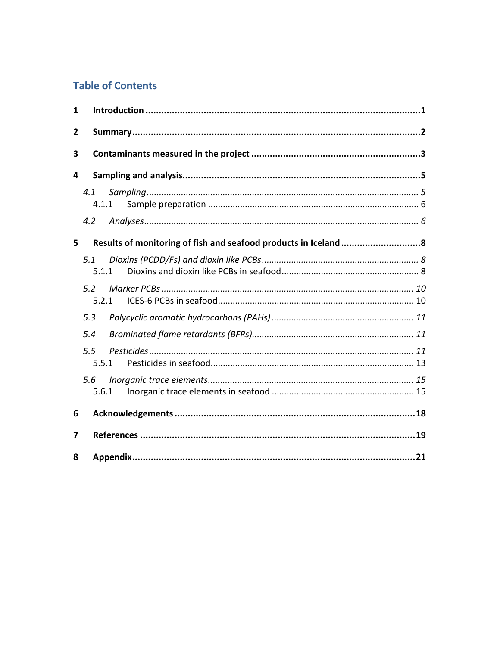# **Table of Contents**

| 1 |              |  |
|---|--------------|--|
| 2 |              |  |
| 3 |              |  |
| 4 |              |  |
|   | 4.1<br>4.1.1 |  |
|   | 4.2          |  |
| 5 |              |  |
|   | 5.1<br>5.1.1 |  |
|   | 5.2<br>5.2.1 |  |
|   | 5.3          |  |
|   | 5.4          |  |
|   | 5.5<br>5.5.1 |  |
|   | 5.6<br>5.6.1 |  |
| 6 |              |  |
| 7 |              |  |
| 8 |              |  |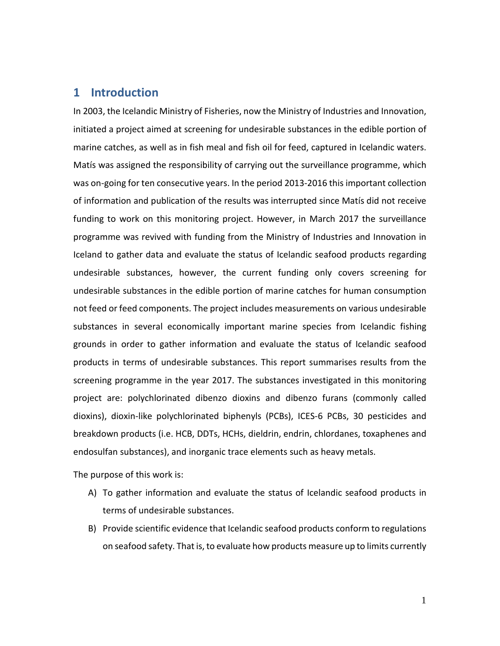# <span id="page-4-0"></span>**1 Introduction**

In 2003, the Icelandic Ministry of Fisheries, now the Ministry of Industries and Innovation, initiated a project aimed at screening for undesirable substances in the edible portion of marine catches, as well as in fish meal and fish oil for feed, captured in Icelandic waters. Matís was assigned the responsibility of carrying out the surveillance programme, which was on-going for ten consecutive years. In the period 2013-2016 this important collection of information and publication of the results was interrupted since Matís did not receive funding to work on this monitoring project. However, in March 2017 the surveillance programme was revived with funding from the Ministry of Industries and Innovation in Iceland to gather data and evaluate the status of Icelandic seafood products regarding undesirable substances, however, the current funding only covers screening for undesirable substances in the edible portion of marine catches for human consumption not feed or feed components. The project includes measurements on various undesirable substances in several economically important marine species from Icelandic fishing grounds in order to gather information and evaluate the status of Icelandic seafood products in terms of undesirable substances. This report summarises results from the screening programme in the year 2017. The substances investigated in this monitoring project are: polychlorinated dibenzo dioxins and dibenzo furans (commonly called dioxins), dioxin-like polychlorinated biphenyls (PCBs), ICES-6 PCBs, 30 pesticides and breakdown products (i.e. HCB, DDTs, HCHs, dieldrin, endrin, chlordanes, toxaphenes and endosulfan substances), and inorganic trace elements such as heavy metals.

The purpose of this work is:

- A) To gather information and evaluate the status of Icelandic seafood products in terms of undesirable substances.
- B) Provide scientific evidence that Icelandic seafood products conform to regulations on seafood safety. That is, to evaluate how products measure up to limits currently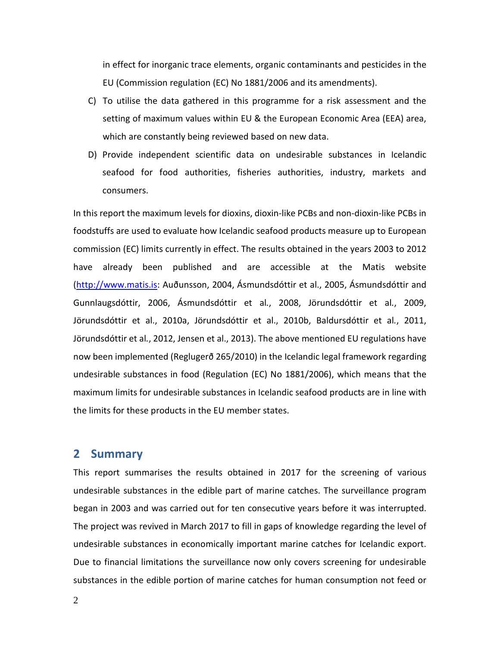in effect for inorganic trace elements, organic contaminants and pesticides in the EU (Commission regulation (EC) No 1881/2006 and its amendments).

- C) To utilise the data gathered in this programme for a risk assessment and the setting of maximum values within EU & the European Economic Area (EEA) area, which are constantly being reviewed based on new data.
- D) Provide independent scientific data on undesirable substances in Icelandic seafood for food authorities, fisheries authorities, industry, markets and consumers.

In this report the maximum levels for dioxins, dioxin-like PCBs and non-dioxin-like PCBs in foodstuffs are used to evaluate how Icelandic seafood products measure up to European commission (EC) limits currently in effect. The results obtained in the years 2003 to 2012 have already been published and are accessible at the Matis website [\(http://www.matis.is:](http://www.matis.is/) Auðunsson, 2004, Ásmundsdóttir et al., 2005, Ásmundsdóttir and Gunnlaugsdóttir, 2006, Ásmundsdóttir et al*.*, 2008, Jörundsdóttir et al*.*, 2009, Jörundsdóttir et al., 2010a, Jörundsdóttir et al., 2010b, Baldursdóttir et al*.*, 2011, Jörundsdóttir et al*.*, 2012, Jensen et al., 2013). The above mentioned EU regulations have now been implemented (Reglugerð 265/2010) in the Icelandic legal framework regarding undesirable substances in food (Regulation (EC) No 1881/2006), which means that the maximum limits for undesirable substances in Icelandic seafood products are in line with the limits for these products in the EU member states.

# <span id="page-5-0"></span>**2 Summary**

This report summarises the results obtained in 2017 for the screening of various undesirable substances in the edible part of marine catches. The surveillance program began in 2003 and was carried out for ten consecutive years before it was interrupted. The project was revived in March 2017 to fill in gaps of knowledge regarding the level of undesirable substances in economically important marine catches for Icelandic export. Due to financial limitations the surveillance now only covers screening for undesirable substances in the edible portion of marine catches for human consumption not feed or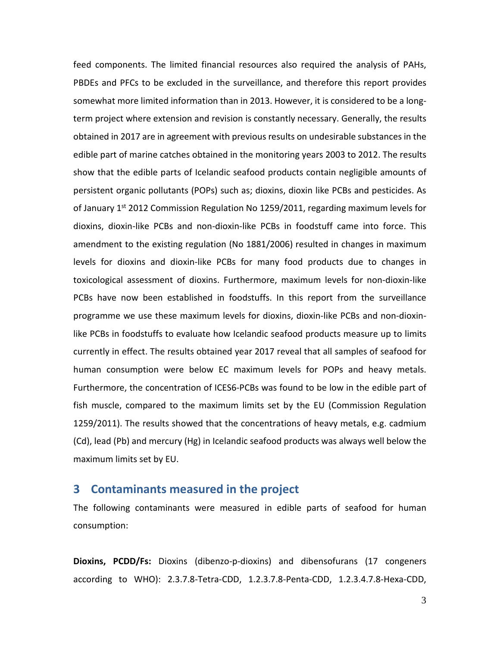feed components. The limited financial resources also required the analysis of PAHs, PBDEs and PFCs to be excluded in the surveillance, and therefore this report provides somewhat more limited information than in 2013. However, it is considered to be a longterm project where extension and revision is constantly necessary. Generally, the results obtained in 2017 are in agreement with previous results on undesirable substances in the edible part of marine catches obtained in the monitoring years 2003 to 2012. The results show that the edible parts of Icelandic seafood products contain negligible amounts of persistent organic pollutants (POPs) such as; dioxins, dioxin like PCBs and pesticides. As of January 1<sup>st</sup> 2012 Commission Regulation No 1259/2011, regarding maximum levels for dioxins, dioxin-like PCBs and non-dioxin-like PCBs in foodstuff came into force. This amendment to the existing regulation (No 1881/2006) resulted in changes in maximum levels for dioxins and dioxin-like PCBs for many food products due to changes in toxicological assessment of dioxins. Furthermore, maximum levels for non-dioxin-like PCBs have now been established in foodstuffs. In this report from the surveillance programme we use these maximum levels for dioxins, dioxin-like PCBs and non-dioxinlike PCBs in foodstuffs to evaluate how Icelandic seafood products measure up to limits currently in effect. The results obtained year 2017 reveal that all samples of seafood for human consumption were below EC maximum levels for POPs and heavy metals. Furthermore, the concentration of ICES6-PCBs was found to be low in the edible part of fish muscle, compared to the maximum limits set by the EU (Commission Regulation 1259/2011). The results showed that the concentrations of heavy metals, e.g. cadmium (Cd), lead (Pb) and mercury (Hg) in Icelandic seafood products was always well below the maximum limits set by EU.

# <span id="page-6-0"></span>**3 Contaminants measured in the project**

The following contaminants were measured in edible parts of seafood for human consumption:

**Dioxins, PCDD/Fs:** Dioxins (dibenzo-p-dioxins) and dibensofurans (17 congeners according to WHO): 2.3.7.8-Tetra-CDD, 1.2.3.7.8-Penta-CDD, 1.2.3.4.7.8-Hexa-CDD,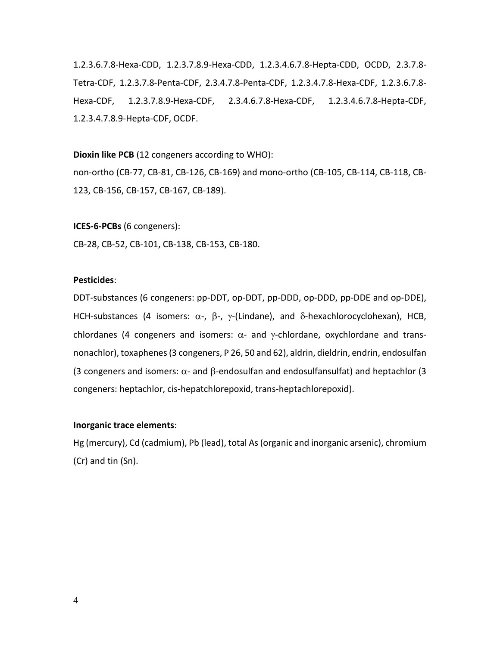1.2.3.6.7.8-Hexa-CDD, 1.2.3.7.8.9-Hexa-CDD, 1.2.3.4.6.7.8-Hepta-CDD, OCDD, 2.3.7.8- Tetra-CDF, 1.2.3.7.8-Penta-CDF, 2.3.4.7.8-Penta-CDF, 1.2.3.4.7.8-Hexa-CDF, 1.2.3.6.7.8- Hexa-CDF, 1.2.3.7.8.9-Hexa-CDF, 2.3.4.6.7.8-Hexa-CDF, 1.2.3.4.6.7.8-Hepta-CDF, 1.2.3.4.7.8.9-Hepta-CDF, OCDF.

**Dioxin like PCB** (12 congeners according to WHO):

non-ortho (CB-77, CB-81, CB-126, CB-169) and mono-ortho (CB-105, CB-114, CB-118, CB-123, CB-156, CB-157, CB-167, CB-189).

**ICES-6-PCBs** (6 congeners):

CB-28, CB-52, CB-101, CB-138, CB-153, CB-180.

#### **Pesticides**:

DDT-substances (6 congeners: pp-DDT, op-DDT, pp-DDD, op-DDD, pp-DDE and op-DDE), HCH-substances (4 isomers:  $\alpha$ -,  $\beta$ -,  $\gamma$ -(Lindane), and  $\delta$ -hexachlorocyclohexan), HCB, chlordanes (4 congeners and isomers:  $\alpha$ - and  $\gamma$ -chlordane, oxychlordane and transnonachlor), toxaphenes(3 congeners, P 26, 50 and 62), aldrin, dieldrin, endrin, endosulfan (3 congeners and isomers:  $\alpha$ - and  $\beta$ -endosulfan and endosulfansulfat) and heptachlor (3 congeners: heptachlor, cis-hepatchlorepoxid, trans-heptachlorepoxid).

#### **Inorganic trace elements**:

Hg (mercury), Cd (cadmium), Pb (lead), total As (organic and inorganic arsenic), chromium (Cr) and tin (Sn).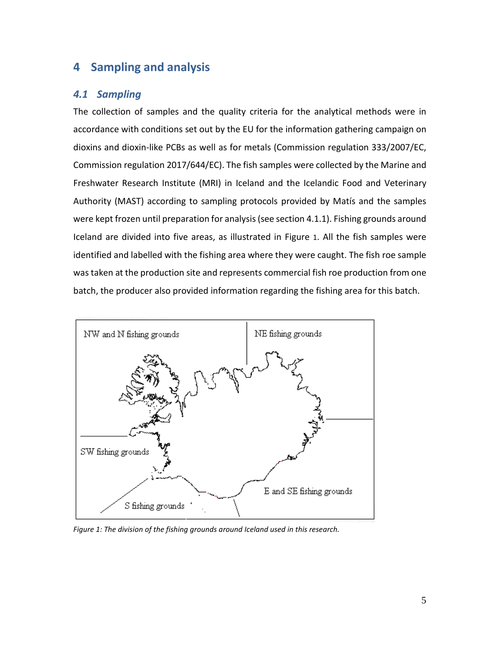# <span id="page-8-0"></span>**4 Sampling and analysis**

# <span id="page-8-1"></span>*4.1 Sampling*

The collection of samples and the quality criteria for the analytical methods were in accordance with conditions set out by the EU for the information gathering campaign on dioxins and dioxin-like PCBs as well as for metals (Commission regulation 333/2007/EC, Commission regulation 2017/644/EC). The fish samples were collected by the Marine and Freshwater Research Institute (MRI) in Iceland and the Icelandic Food and Veterinary Authority (MAST) according to sampling protocols provided by Matís and the samples were kept frozen until preparation for analysis(see section 4.1.1). Fishing grounds around Iceland are divided into five areas, as illustrated in Figure 1. All the fish samples were identified and labelled with the fishing area where they were caught. The fish roe sample was taken at the production site and represents commercial fish roe production from one batch, the producer also provided information regarding the fishing area for this batch.



*Figure 1: The division of the fishing grounds around Iceland used in this research.*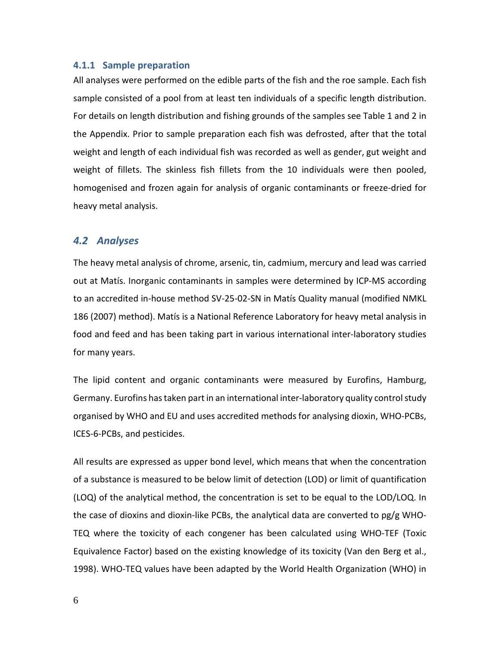#### <span id="page-9-0"></span>**4.1.1 Sample preparation**

All analyses were performed on the edible parts of the fish and the roe sample. Each fish sample consisted of a pool from at least ten individuals of a specific length distribution. For details on length distribution and fishing grounds of the samples see Table 1 and 2 in the Appendix. Prior to sample preparation each fish was defrosted, after that the total weight and length of each individual fish was recorded as well as gender, gut weight and weight of fillets. The skinless fish fillets from the 10 individuals were then pooled, homogenised and frozen again for analysis of organic contaminants or freeze-dried for heavy metal analysis.

#### <span id="page-9-1"></span>*4.2 Analyses*

The heavy metal analysis of chrome, arsenic, tin, cadmium, mercury and lead was carried out at Matís. Inorganic contaminants in samples were determined by ICP-MS according to an accredited in-house method SV-25-02-SN in Matís Quality manual (modified NMKL 186 (2007) method). Matís is a National Reference Laboratory for heavy metal analysis in food and feed and has been taking part in various international inter-laboratory studies for many years.

The lipid content and organic contaminants were measured by Eurofins, Hamburg, Germany. Eurofins has taken part in an international inter-laboratory quality control study organised by WHO and EU and uses accredited methods for analysing dioxin, WHO-PCBs, ICES-6-PCBs, and pesticides.

All results are expressed as upper bond level, which means that when the concentration of a substance is measured to be below limit of detection (LOD) or limit of quantification (LOQ) of the analytical method, the concentration is set to be equal to the LOD/LOQ. In the case of dioxins and dioxin-like PCBs, the analytical data are converted to pg/g WHO-TEQ where the toxicity of each congener has been calculated using WHO-TEF (Toxic Equivalence Factor) based on the existing knowledge of its toxicity (Van den Berg et al., 1998). WHO-TEQ values have been adapted by the World Health Organization (WHO) in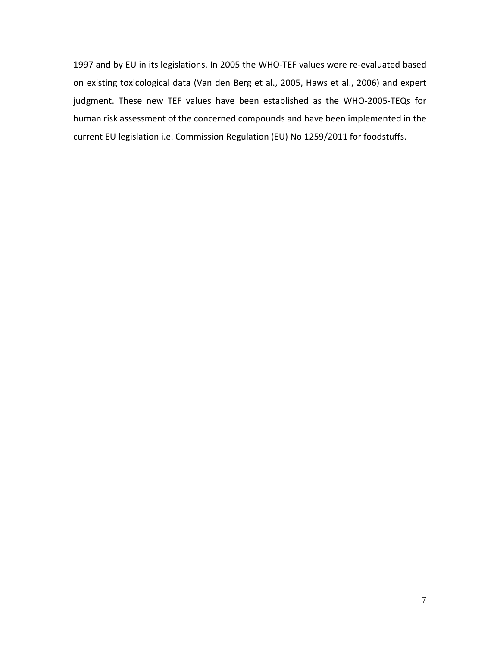1997 and by EU in its legislations. In 2005 the WHO-TEF values were re-evaluated based on existing toxicological data (Van den Berg et al., 2005, Haws et al., 2006) and expert judgment. These new TEF values have been established as the WHO-2005-TEQs for human risk assessment of the concerned compounds and have been implemented in the current EU legislation i.e. Commission Regulation (EU) No 1259/2011 for foodstuffs.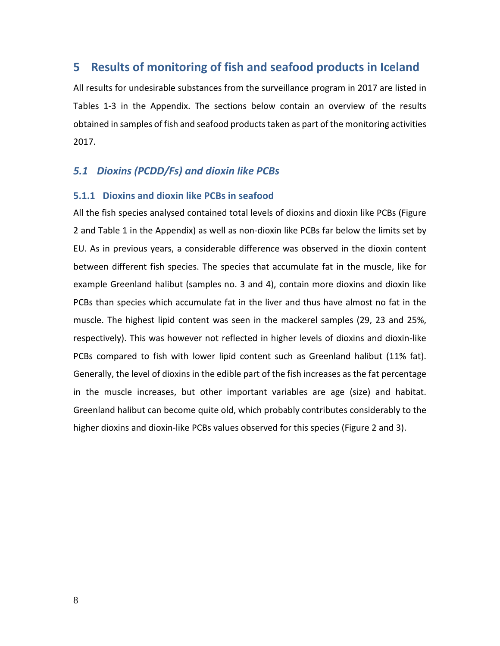# <span id="page-11-0"></span>**5 Results of monitoring of fish and seafood products in Iceland**

All results for undesirable substances from the surveillance program in 2017 are listed in Tables 1-3 in the Appendix. The sections below contain an overview of the results obtained in samples of fish and seafood products taken as part of the monitoring activities 2017.

## <span id="page-11-1"></span>*5.1 Dioxins (PCDD/Fs) and dioxin like PCBs*

## <span id="page-11-2"></span>**5.1.1 Dioxins and dioxin like PCBs in seafood**

All the fish species analysed contained total levels of dioxins and dioxin like PCBs [\(Figure](#page-12-0)  [2](#page-12-0) and Table 1 in the Appendix) as well as non-dioxin like PCBs far below the limits set by EU. As in previous years, a considerable difference was observed in the dioxin content between different fish species. The species that accumulate fat in the muscle, like for example Greenland halibut (samples no. 3 and 4), contain more dioxins and dioxin like PCBs than species which accumulate fat in the liver and thus have almost no fat in the muscle. The highest lipid content was seen in the mackerel samples (29, 23 and 25%, respectively). This was however not reflected in higher levels of dioxins and dioxin-like PCBs compared to fish with lower lipid content such as Greenland halibut (11% fat). Generally, the level of dioxins in the edible part of the fish increases as the fat percentage in the muscle increases, but other important variables are age (size) and habitat. Greenland halibut can become quite old, which probably contributes considerably to the higher dioxins and dioxin-like PCBs values observed for this species [\(Figure 2](#page-12-0) and 3).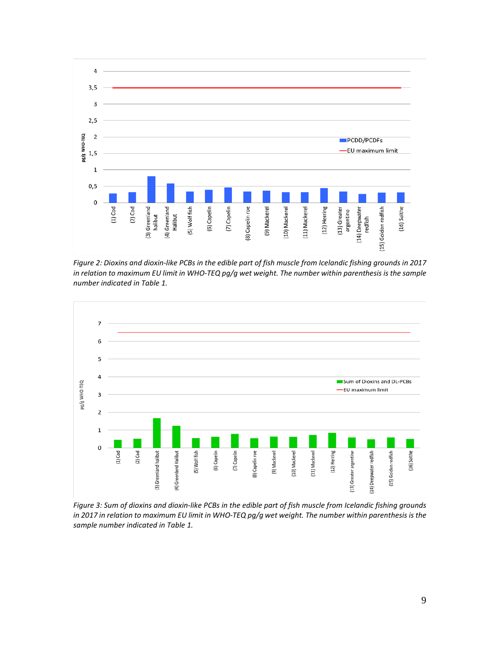

*Figure 2: Dioxins and dioxin-like PCBs in the edible part of fish muscle from Icelandic fishing grounds in 2017 in relation to maximum EU limit in WHO-TEQ pg/g wet weight. The number within parenthesis is the sample number indicated in Table 1.*



<span id="page-12-0"></span>*Figure 3: Sum of dioxins and dioxin-like PCBs in the edible part of fish muscle from Icelandic fishing grounds in 2017 in relation to maximum EU limit in WHO-TEQ pg/g wet weight. The number within parenthesis is the sample number indicated in Table 1.*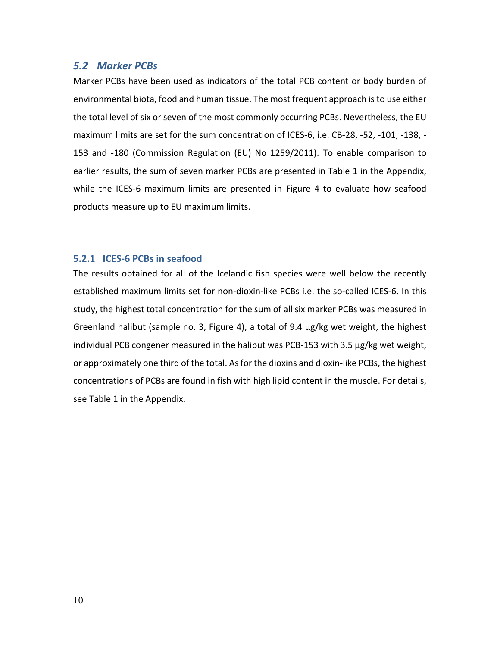## <span id="page-13-0"></span>*5.2 Marker PCBs*

Marker PCBs have been used as indicators of the total PCB content or body burden of environmental biota, food and human tissue. The most frequent approach is to use either the total level of six or seven of the most commonly occurring PCBs. Nevertheless, the EU maximum limits are set for the sum concentration of ICES-6, i.e. CB-28, -52, -101, -138, - 153 and -180 (Commission Regulation (EU) No 1259/2011). To enable comparison to earlier results, the sum of seven marker PCBs are presented in Table 1 in the Appendix, while the ICES-6 maximum limits are presented in Figure 4 to evaluate how seafood products measure up to EU maximum limits.

#### <span id="page-13-1"></span>**5.2.1 ICES-6 PCBs in seafood**

The results obtained for all of the Icelandic fish species were well below the recently established maximum limits set for non-dioxin-like PCBs i.e. the so-called ICES-6. In this study, the highest total concentration for the sum of all six marker PCBs was measured in Greenland halibut (sample no. 3, Figure 4), a total of 9.4 μg/kg wet weight, the highest individual PCB congener measured in the halibut was PCB-153 with 3.5 μg/kg wet weight, or approximately one third of the total. As for the dioxins and dioxin-like PCBs, the highest concentrations of PCBs are found in fish with high lipid content in the muscle. For details, see Table 1 in the Appendix.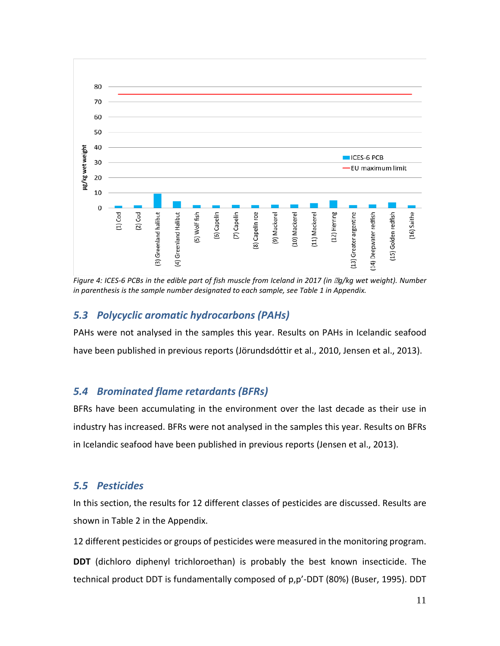

*Figure 4: ICES-6 PCBs in the edible part of fish muscle from Iceland in 2017 (in g/kg wet weight). Number in parenthesis is the sample number designated to each sample, see Table 1 in Appendix.*

# <span id="page-14-0"></span>*5.3 Polycyclic aromatic hydrocarbons (PAHs)*

PAHs were not analysed in the samples this year. Results on PAHs in Icelandic seafood have been published in previous reports (Jörundsdóttir et al., 2010, Jensen et al., 2013).

# <span id="page-14-1"></span>*5.4 Brominated flame retardants (BFRs)*

BFRs have been accumulating in the environment over the last decade as their use in industry has increased. BFRs were not analysed in the samples this year. Results on BFRs in Icelandic seafood have been published in previous reports (Jensen et al., 2013).

# <span id="page-14-2"></span>*5.5 Pesticides*

In this section, the results for 12 different classes of pesticides are discussed. Results are shown in Table 2 in the Appendix.

12 different pesticides or groups of pesticides were measured in the monitoring program. **DDT** (dichloro diphenyl trichloroethan) is probably the best known insecticide. The technical product DDT is fundamentally composed of p,p'-DDT (80%) (Buser, 1995). DDT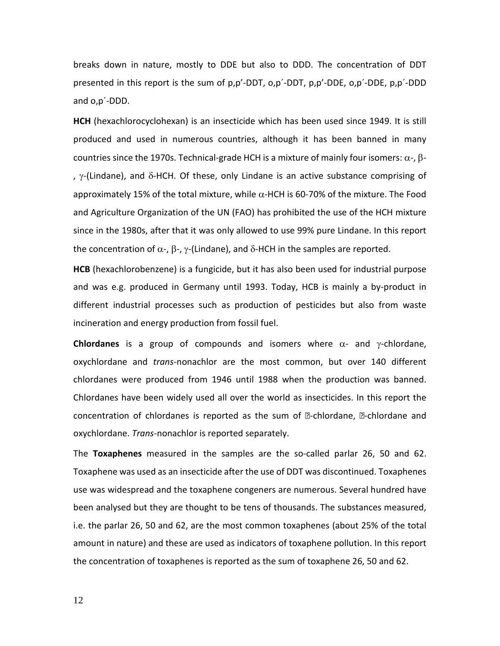breaks down in nature, mostly to DDE but also to DDD. The concentration of DDT presented in this report is the sum of p,p'-DDT, o,p´-DDT, p,p'-DDE, o,p´-DDE, p,p´-DDD and o,p´-DDD.

**HCH** (hexachlorocyclohexan) is an insecticide which has been used since 1949. It is still produced and used in numerous countries, although it has been banned in many countries since the 1970s. Technical-grade HCH is a mixture of mainly four isomers:  $\alpha$ -,  $\beta$ -,  $\gamma$ -(Lindane), and δ-HCH. Of these, only Lindane is an active substance comprising of approximately 15% of the total mixture, while  $\alpha$ -HCH is 60-70% of the mixture. The Food and Agriculture Organization of the UN (FAO) has prohibited the use of the HCH mixture since in the 1980s, after that it was only allowed to use 99% pure Lindane. In this report the concentration of  $\alpha$ -,  $\beta$ -,  $\gamma$ -(Lindane), and δ-HCH in the samples are reported.

**HCB** (hexachlorobenzene) is a fungicide, but it has also been used for industrial purpose and was e.g. produced in Germany until 1993. Today, HCB is mainly a by-product in different industrial processes such as production of pesticides but also from waste incineration and energy production from fossil fuel.

**Chlordanes** is a group of compounds and isomers where α- and γ-chlordane, oxychlordane and *trans*-nonachlor are the most common, but over 140 different chlordanes were produced from 1946 until 1988 when the production was banned. Chlordanes have been widely used all over the world as insecticides. In this report the concentration of chlordanes is reported as the sum of  $\mathbb Z$ -chlordane,  $\mathbb Z$ -chlordane and oxychlordane. *Trans*-nonachlor is reported separately.

The **Toxaphenes** measured in the samples are the so-called parlar 26, 50 and 62. Toxaphene was used as an insecticide after the use of DDT was discontinued. Toxaphenes use was widespread and the toxaphene congeners are numerous. Several hundred have been analysed but they are thought to be tens of thousands. The substances measured, i.e. the parlar 26, 50 and 62, are the most common toxaphenes (about 25% of the total amount in nature) and these are used as indicators of toxaphene pollution. In this report the concentration of toxaphenes is reported as the sum of toxaphene 26, 50 and 62.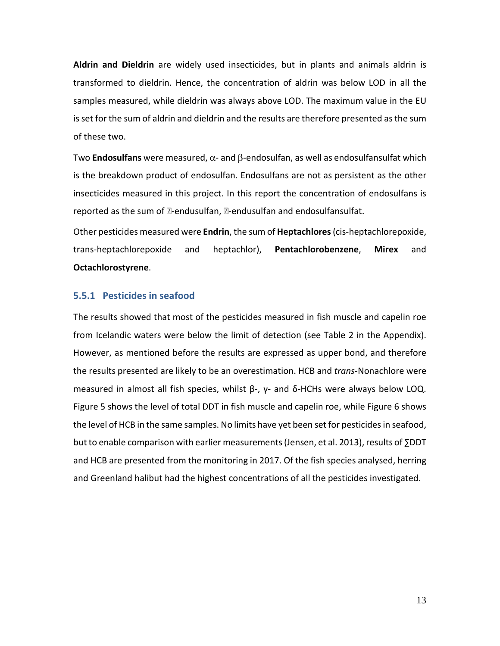**Aldrin and Dieldrin** are widely used insecticides, but in plants and animals aldrin is transformed to dieldrin. Hence, the concentration of aldrin was below LOD in all the samples measured, while dieldrin was always above LOD. The maximum value in the EU is set for the sum of aldrin and dieldrin and the results are therefore presented as the sum of these two.

Two **Endosulfans** were measured, α- and β-endosulfan, as well as endosulfansulfat which is the breakdown product of endosulfan. Endosulfans are not as persistent as the other insecticides measured in this project. In this report the concentration of endosulfans is reported as the sum of **2-endusulfan**, **2-endusulfan and endosulfansulfat**.

Other pesticides measured were **Endrin**, the sum of **Heptachlores**(cis-heptachlorepoxide, trans-heptachlorepoxide and heptachlor), **Pentachlorobenzene**, **Mirex** and **Octachlorostyrene**.

## <span id="page-16-0"></span>**5.5.1 Pesticides in seafood**

The results showed that most of the pesticides measured in fish muscle and capelin roe from Icelandic waters were below the limit of detection (see Table 2 in the Appendix). However, as mentioned before the results are expressed as upper bond, and therefore the results presented are likely to be an overestimation. HCB and *trans*-Nonachlore were measured in almost all fish species, whilst  $β$ -,  $γ$ - and  $δ$ -HCHs were always below LOQ. Figure 5 shows the level of total DDT in fish muscle and capelin roe, while Figure 6 shows the level of HCB in the same samples. No limits have yet been set for pesticides in seafood, but to enable comparison with earlier measurements (Jensen, et al. 2013), results of ∑DDT and HCB are presented from the monitoring in 2017. Of the fish species analysed, herring and Greenland halibut had the highest concentrations of all the pesticides investigated.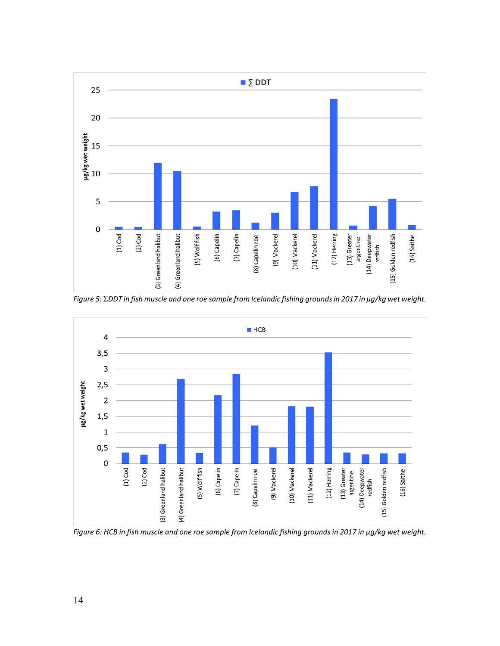

*Figure 5:* Σ*DDT in fish muscle and one roe sample from Icelandic fishing grounds in 2017 in μg/kg wet weight.*



*Figure 6: HCB in fish muscle and one roe sample from Icelandic fishing grounds in 2017 in μg/kg wet weight.*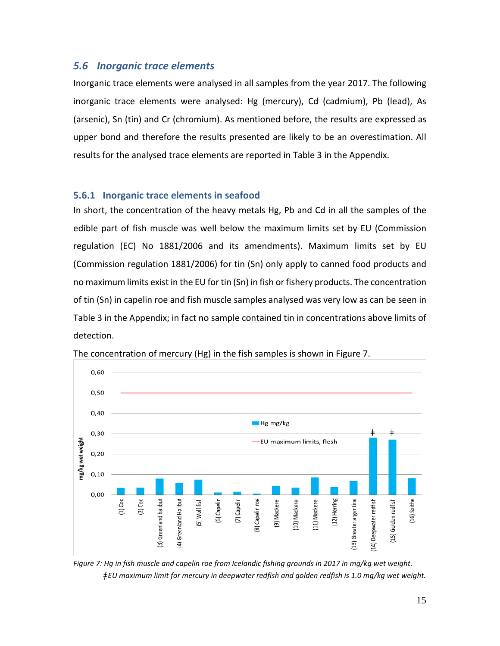# <span id="page-18-0"></span>*5.6 Inorganic trace elements*

Inorganic trace elements were analysed in all samples from the year 2017. The following inorganic trace elements were analysed: Hg (mercury), Cd (cadmium), Pb (lead), As (arsenic), Sn (tin) and Cr (chromium). As mentioned before, the results are expressed as upper bond and therefore the results presented are likely to be an overestimation. All results for the analysed trace elements are reported in Table 3 in the Appendix.

## <span id="page-18-1"></span>**5.6.1 Inorganic trace elements in seafood**

In short, the concentration of the heavy metals Hg, Pb and Cd in all the samples of the edible part of fish muscle was well below the maximum limits set by EU (Commission regulation (EC) No 1881/2006 and its amendments). Maximum limits set by EU (Commission regulation 1881/2006) for tin (Sn) only apply to canned food products and no maximum limits exist in the EU for tin (Sn) in fish or fishery products. The concentration of tin (Sn) in capelin roe and fish muscle samples analysed was very low as can be seen in Table 3 in the Appendix; in fact no sample contained tin in concentrations above limits of detection.



The concentration of mercury (Hg) in the fish samples is shown in [Figure 7](#page-18-2).

<span id="page-18-2"></span>*Figure 7: Hg in fish muscle and capelin roe from Icelandic fishing grounds in 2017 in mg/kg wet weight. ǂEU maximum limit for mercury in deepwater redfish and golden redfish is 1.0 mg/kg wet weight.*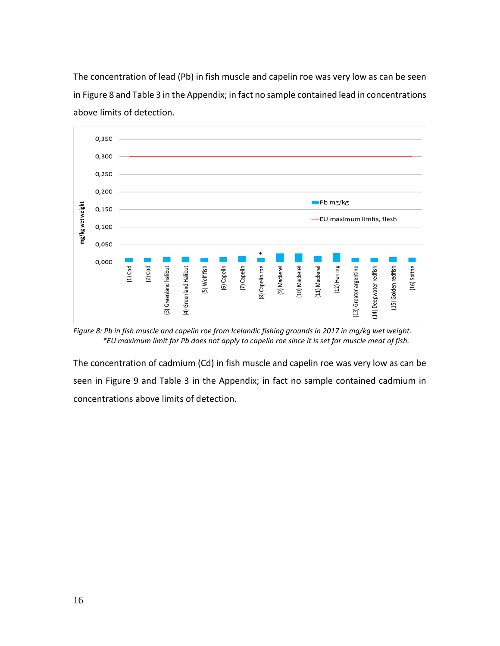The concentration of lead (Pb) in fish muscle and capelin roe was very low as can be seen in Figure 8 and Table 3 in the Appendix; in fact no sample contained lead in concentrations above limits of detection.



*Figure 8: Pb in fish muscle and capelin roe from Icelandic fishing grounds in 2017 in mg/kg wet weight. \*EU maximum limit for Pb does not apply to capelin roe since it is set for muscle meat of fish.*

The concentration of cadmium (Cd) in fish muscle and capelin roe was very low as can be seen in Figure 9 and Table 3 in the Appendix; in fact no sample contained cadmium in concentrations above limits of detection.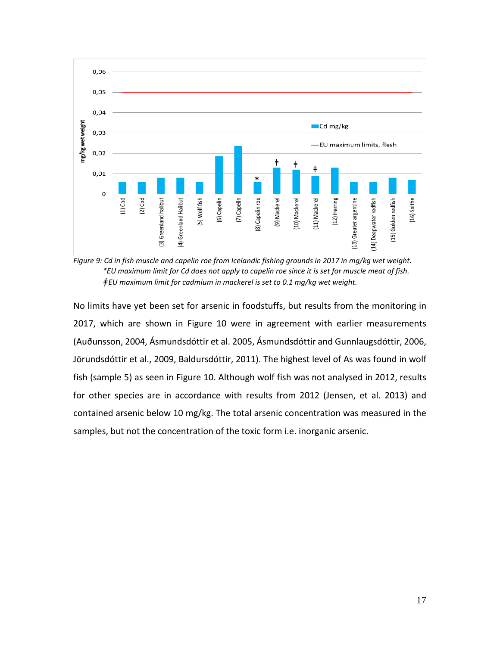

*Figure 9: Cd in fish muscle and capelin roe from Icelandic fishing grounds in 2017 in mg/kg wet weight. \*EU maximum limit for Cd does not apply to capelin roe since it is set for muscle meat of fish. ǂEU maximum limit for cadmium in mackerel is set to 0.1 mg/kg wet weight.*

No limits have yet been set for arsenic in foodstuffs, but results from the monitoring in 2017, which are shown in Figure 10 were in agreement with earlier measurements (Auðunsson, 2004, Ásmundsdóttir et al. 2005, Ásmundsdóttir and Gunnlaugsdóttir, 2006, Jörundsdóttir et al., 2009, Baldursdóttir, 2011). The highest level of As was found in wolf fish (sample 5) as seen in Figure 10. Although wolf fish was not analysed in 2012, results for other species are in accordance with results from 2012 (Jensen, et al. 2013) and contained arsenic below 10 mg/kg. The total arsenic concentration was measured in the samples, but not the concentration of the toxic form i.e. inorganic arsenic.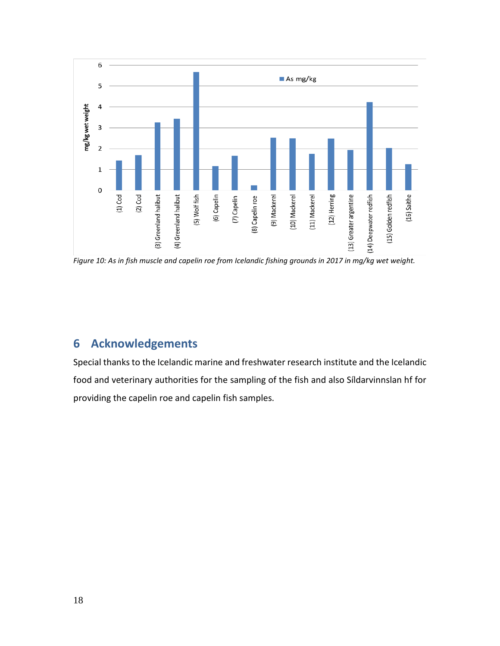

*Figure 10: As in fish muscle and capelin roe from Icelandic fishing grounds in 2017 in mg/kg wet weight.*

# <span id="page-21-0"></span>**6 Acknowledgements**

Special thanks to the Icelandic marine and freshwater research institute and the Icelandic food and veterinary authorities for the sampling of the fish and also Síldarvinnslan hf for providing the capelin roe and capelin fish samples.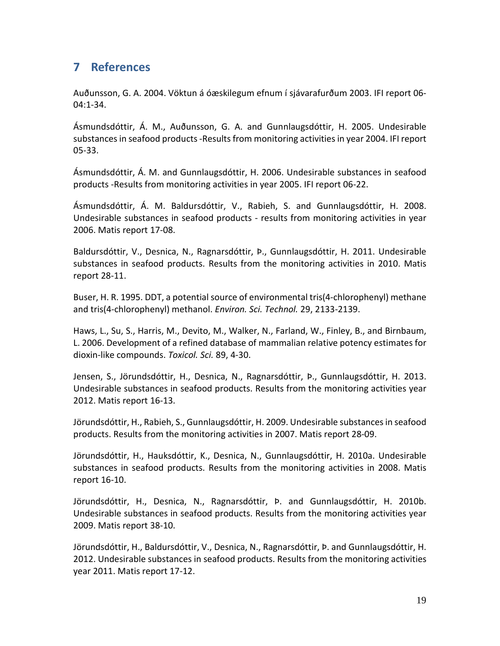# <span id="page-22-0"></span>**7 References**

Auðunsson, G. A. 2004. Vöktun á óæskilegum efnum í sjávarafurðum 2003. IFI report 06- 04:1-34.

Ásmundsdóttir, Á. M., Auðunsson, G. A. and Gunnlaugsdóttir, H. 2005. Undesirable substances in seafood products -Results from monitoring activities in year 2004. IFI report 05-33.

Ásmundsdóttir, Á. M. and Gunnlaugsdóttir, H. 2006. Undesirable substances in seafood products -Results from monitoring activities in year 2005. IFI report 06-22.

Ásmundsdóttir, Á. M. Baldursdóttir, V., Rabieh, S. and Gunnlaugsdóttir, H. 2008. Undesirable substances in seafood products - results from monitoring activities in year 2006. Matis report 17-08.

Baldursdóttir, V., Desnica, N., Ragnarsdóttir, Þ., Gunnlaugsdóttir, H. 2011. Undesirable substances in seafood products. Results from the monitoring activities in 2010. Matis report 28-11.

Buser, H. R. 1995. DDT, a potential source of environmental tris(4-chlorophenyl) methane and tris(4-chlorophenyl) methanol. *Environ. Sci. Technol.* 29, 2133-2139.

Haws, L., Su, S., Harris, M., Devito, M., Walker, N., Farland, W., Finley, B., and Birnbaum, L. 2006. Development of a refined database of mammalian relative potency estimates for dioxin-like compounds. *Toxicol. Sci.* 89, 4-30.

Jensen, S., Jörundsdóttir, H., Desnica, N., Ragnarsdóttir, Þ., Gunnlaugsdóttir, H. 2013. Undesirable substances in seafood products. Results from the monitoring activities year 2012. Matis report 16-13.

Jörundsdóttir, H., Rabieh, S., Gunnlaugsdóttir, H. 2009. Undesirable substances in seafood products. Results from the monitoring activities in 2007. Matis report 28-09.

Jörundsdóttir, H., Hauksdóttir, K., Desnica, N., Gunnlaugsdóttir, H. 2010a. Undesirable substances in seafood products. Results from the monitoring activities in 2008. Matis report 16-10.

Jörundsdóttir, H., Desnica, N., Ragnarsdóttir, Þ. and Gunnlaugsdóttir, H. 2010b. Undesirable substances in seafood products. Results from the monitoring activities year 2009. Matis report 38-10.

Jörundsdóttir, H., Baldursdóttir, V., Desnica, N., Ragnarsdóttir, Þ. and Gunnlaugsdóttir, H. 2012. Undesirable substances in seafood products. Results from the monitoring activities year 2011. Matis report 17-12.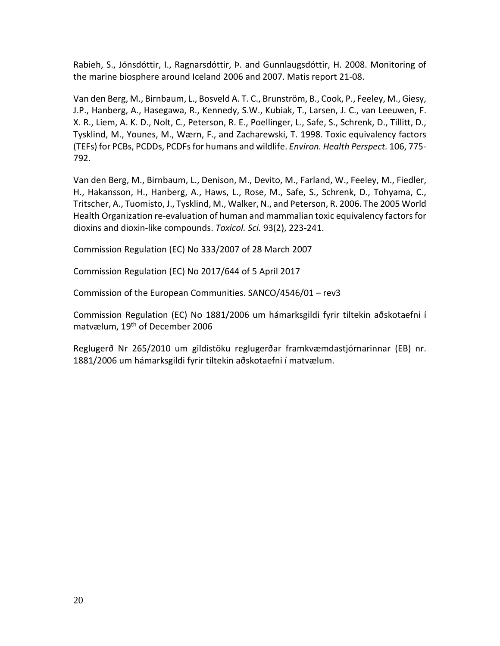Rabieh, S., Jónsdóttir, I., Ragnarsdóttir, Þ. and Gunnlaugsdóttir, H. 2008. Monitoring of the marine biosphere around Iceland 2006 and 2007. Matis report 21-08.

Van den Berg, M., Birnbaum, L., Bosveld A. T. C., Brunström, B., Cook, P., Feeley, M., Giesy, J.P., Hanberg, A., Hasegawa, R., Kennedy, S.W., Kubiak, T., Larsen, J. C., van Leeuwen, F. X. R., Liem, A. K. D., Nolt, C., Peterson, R. E., Poellinger, L., Safe, S., Schrenk, D., Tillitt, D., Tysklind, M., Younes, M., Wærn, F., and Zacharewski, T. 1998. Toxic equivalency factors (TEFs) for PCBs, PCDDs, PCDFs for humans and wildlife. *Environ. Health Perspect.* 106, 775- 792.

Van den Berg, M., Birnbaum, L., Denison, M., Devito, M., Farland, W., Feeley, M., Fiedler, H., Hakansson, H., Hanberg, A., Haws, L., Rose, M., Safe, S., Schrenk, D., Tohyama, C., Tritscher, A., Tuomisto, J., Tysklind, M., Walker, N., and Peterson, R. 2006. The 2005 World Health Organization re-evaluation of human and mammalian toxic equivalency factors for dioxins and dioxin-like compounds. *Toxicol. Sci.* 93(2), 223-241.

Commission Regulation (EC) No 333/2007 of 28 March 2007

Commission Regulation (EC) No 2017/644 of 5 April 2017

Commission of the European Communities. SANCO/4546/01 – rev3

Commission Regulation (EC) No 1881/2006 um hámarksgildi fyrir tiltekin aðskotaefni í matvælum, 19th of December 2006

Reglugerð Nr 265/2010 um gildistöku reglugerðar framkvæmdastjórnarinnar (EB) nr. 1881/2006 um hámarksgildi fyrir tiltekin aðskotaefni í matvælum.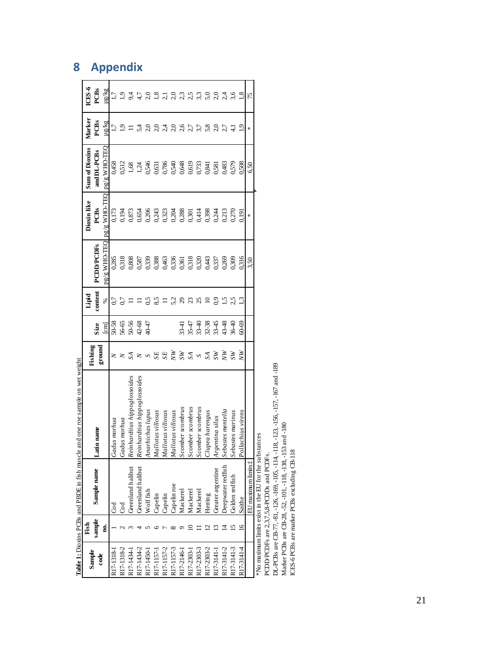|            |        |                                                       | Table 1: Dioxins PCBs and PBDE in fish muscle and one roe sample on wet weight |                           |                         |          |                                                             |                           |                                                                                   |                  |                |
|------------|--------|-------------------------------------------------------|--------------------------------------------------------------------------------|---------------------------|-------------------------|----------|-------------------------------------------------------------|---------------------------|-----------------------------------------------------------------------------------|------------------|----------------|
| Sample     | Fish   |                                                       |                                                                                | Fishing                   |                         | Lipid    |                                                             | <b>Dioxin</b> like        | <b>Sum of Dioxins</b>                                                             | Marker           | ICES-6         |
| code       | sample | Sample name                                           | name<br>Latin                                                                  | ground                    | Size                    | content  | <b>PCDD/PCDFs</b>                                           | PCBs                      | and DL-PCBs                                                                       | PCBs             | PCBs           |
|            | g.     |                                                       |                                                                                |                           | $\boxed{\text{cm}}$     | ℅        | pg/g WHO-TEO                                                | pg/g WHO-TEQ pg/g WHO-TEC |                                                                                   | ug/kg            | ug/kg          |
| R17-1318-1 |        | ಕೆ                                                    | Gadus morhua                                                                   |                           | 50-58                   |          | 0,285                                                       | 0,173                     | 0,458                                                                             |                  | 1.7            |
| R17-1318-2 |        | ತ                                                     | Gadus morhua                                                                   | z                         |                         |          |                                                             |                           |                                                                                   | $\tilde{\omega}$ |                |
| R17-1434-  |        | Greenland halibut                                     | Reinhardtius hippoglossoides                                                   | $\mathbb{Z}$              |                         |          |                                                             |                           |                                                                                   |                  | $9\dot{4}$     |
| R17-1434-2 |        | Greenland halibut                                     | Reinhardtius hippoglossoides                                                   |                           | 56-56<br>56-56<br>56-47 |          | 0,318<br>0,808<br>0,587                                     |                           |                                                                                   | $5\frac{4}{3}$   | 4.7            |
| R17-1450-1 |        | Wolffish                                              | Anarhichas lupus                                                               |                           |                         |          | 0,339<br>0,388<br>0,356<br>0,350<br>0,320<br>0,337<br>0,337 |                           | 0512<br>1,34 46 5313<br>1,34 46 5313<br>0,532 46 46 50<br>0,512<br>0,512<br>0,512 | 2,0              | 2,0            |
| R17-1157-1 |        | Capelin                                               | Mallotus villosus                                                              | SE                        |                         | 8,5      |                                                             |                           |                                                                                   | 2,0              | 1,8            |
| R17-1157-2 |        | Capelin                                               | Mallotus villosus                                                              | $SE$                      |                         |          |                                                             |                           |                                                                                   | 2,4              |                |
| R17-1157-3 |        | Capelin roe                                           | Mallotus villosus                                                              | $\widetilde{\xi}$         |                         |          |                                                             |                           |                                                                                   | 2,0              | 2,0            |
| R17-2146-1 |        | Mackerel                                              | Scomber scombrus                                                               | $S_{\text{A}}$            | $33-47$<br>35-47        | 52<br>23 |                                                             |                           |                                                                                   | 2,6              | $2,3$<br>$2,5$ |
| R17-2303-1 |        | Mackerel                                              | Scomber scombrus                                                               |                           |                         |          |                                                             |                           |                                                                                   | 2,7              |                |
| R17-2303-3 |        | Mackerel                                              | Scomber scombrus                                                               | $\mathcal{S}$             | $33 - 40$               | $^{25}$  |                                                             |                           |                                                                                   |                  | 3,3            |
| R17-2303-2 |        | Herring                                               | Clupea harengus                                                                | SA                        | $32 - 38$<br>$33 - 45$  | ≘        |                                                             |                           |                                                                                   | 5,8              | 5,0            |
| R17-3141-1 |        | Greater argentine                                     | Argentina silus                                                                | $\widetilde{\mathcal{S}}$ |                         | $^{9}$   |                                                             |                           | 0,581                                                                             | 2,0              | 2,0            |
| R17-3141-2 |        | Deepwater redfish                                     | Sebastes mentella                                                              | $\widetilde{N}$           | 43-48                   |          | 0,269                                                       | 0,213                     | 0,483                                                                             | 2,7              |                |
| R17-3141-3 |        | Golden redfish                                        | Sebastes marinus                                                               | $S_{W}$                   | $36 - 40$               |          | 0,309                                                       | 0,270                     | 0,579                                                                             | $\exists$        |                |
| R17-3141-4 | $\leq$ | Saithe                                                | Pollachius virens                                                              | ŘN                        | $60 - 69$               |          | 0,316                                                       | 0,191                     | 0,508                                                                             | 2                | $^{1.8}$       |
|            |        | EU maximum limits t                                   |                                                                                |                           |                         |          | 3,50                                                        | ∗                         | 6,50                                                                              | ∗                | 75             |
|            |        | *No maximum limits exist in the EU for the substances |                                                                                |                           |                         |          |                                                             |                           |                                                                                   |                  |                |
|            |        | $\frac{1}{2}$<br>$25.757$ and $7.757$                 |                                                                                |                           |                         |          |                                                             |                           |                                                                                   |                  |                |

PCDD/PCDFs are 2,3,7,5,8-PCDDs and PCDFs.

PCDD/PCDFs are 23,7,5,8-PCDDs and PCDFs.<br>DL-PCBs are CB-77, -81, -126, -169, -105, -114, -118, -123, -156, -157, -167 and -189<br>Matker PCBs are CB-28, -52, -101, -118, -138, -153 and -180<br>ICES-6 PCBs are marker PCBs excludi DL-PCBs are CB-77, -81, -126, -169, -105, -114, -118, -123, -156, -157, -167 and -189

Marker PCBs are CB-28, -52, -101, -118, -138, -153 and -180

ICES-6 PCBs are marker PCBs excluding CB-118

# <span id="page-24-0"></span>**8 Appendix**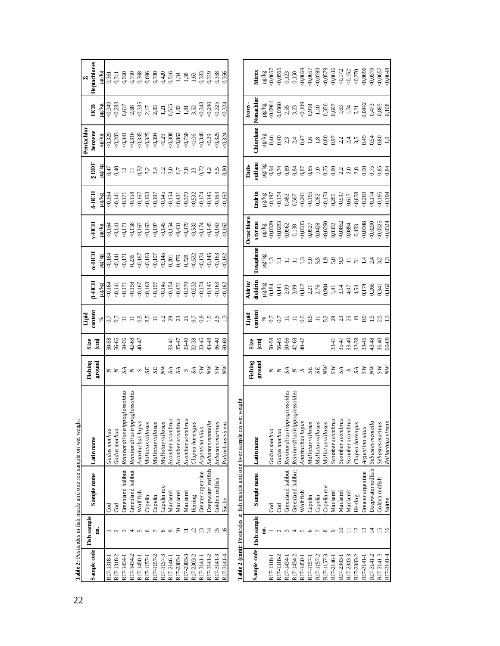| 22 |             |                    | Table 2: Pesticides in fish mucle and one roe sample on wet weight |                                                                                                     |                                                                     |                                                     |                |                                    |                         |                                        |                       |                     |                                                                  |                                                                                                                    |                                                                    |
|----|-------------|--------------------|--------------------------------------------------------------------|-----------------------------------------------------------------------------------------------------|---------------------------------------------------------------------|-----------------------------------------------------|----------------|------------------------------------|-------------------------|----------------------------------------|-----------------------|---------------------|------------------------------------------------------------------|--------------------------------------------------------------------------------------------------------------------|--------------------------------------------------------------------|
|    |             | <b>Fish</b> sample |                                                                    |                                                                                                     | Fishing                                                             | Size                                                | Lipid          |                                    |                         |                                        |                       |                     | Pentachlor                                                       |                                                                                                                    | N                                                                  |
|    | Sample code | g                  | Sample name                                                        | Latin name                                                                                          | ground                                                              | $\overline{a}$                                      | content        | $\beta$ -HCH<br>ug/kg              | a-HCH<br>ug/kg          | <b>FHCH</b>                            | <b>S-HCH</b><br>ug/kg | Idd<br>ug/kg        | benzene<br>ma <sub>V</sub> an                                    | Ë                                                                                                                  | <b>Heptachlores</b><br>ug/kg                                       |
|    | R17-1318-1  |                    | Gd                                                                 | Gadus morhua                                                                                        |                                                                     |                                                     |                | $\leqslant$                        | $-0,164$                | µg/kg<br><0,164                        | $-0.164$              | 0,47                | < 0,329                                                          | प्रदेश<br>२०,३४९<br>२०,२४३                                                                                         | 0,361                                                              |
|    | R17-1318-2  |                    | God                                                                | Gadus morhua                                                                                        |                                                                     | $50-58$<br>$56-65$<br>$50-56$<br>$42-68$<br>$40-47$ | $0,7$<br>$0,7$ | $-0.141$                           | $-0,141$                | (0,14]                                 | $-0,141$              | 0,40                | < 0,283                                                          |                                                                                                                    |                                                                    |
|    | R17-1434-   |                    | Greenland halibut                                                  | Reinhardtius hippoglossoides                                                                        |                                                                     |                                                     |                | $-0,171$                           | $-0,171$                | 0,171                                  | $-0,171$              | $\overline{\omega}$ | 0,341                                                            | 0,617                                                                                                              |                                                                    |
|    | R17-1434-2  |                    | Greenland halibut                                                  | Reinhardtus hippoglossoides                                                                         |                                                                     |                                                     |                |                                    | 0,236                   |                                        | $-0,158$              | $\equiv$            | 0,316                                                            |                                                                                                                    |                                                                    |
|    | R17-1450-1  |                    | Wolf fish                                                          | Anarhichas lupus                                                                                    |                                                                     |                                                     |                |                                    |                         |                                        | $-0,167$              |                     |                                                                  |                                                                                                                    |                                                                    |
|    | R17-1157-   | ৩                  | Capelin                                                            | Mallotus villosus<br>Mallotus villosus<br>Mallotus villosus                                         | $\times \times \mathbb{S} \times \sim \mathbb{S} \times \mathbb{S}$ |                                                     | $0,5$<br>8.5   | $0,158$<br>0,167<br>0,163<br>0,197 | $-0.167$<br>$-0.163$    | $\frac{6158}{0.167}$<br>0.167<br>0.197 | $-0,163$              |                     | $835$<br>$832$<br>$80394$                                        | $\begin{array}{c} 2.68 \\ 4.35 \\ 2.17 \\ 3.83 \\ 1.21 \\ 1.51 \\ 2.52 \\ 3.52 \\ 3.52 \\ 3.52 \\ 3.5 \end{array}$ |                                                                    |
|    | R17-1157-2  |                    | Capelin                                                            |                                                                                                     |                                                                     |                                                     | Ξ              |                                    | $-0,197$                |                                        | (0,197)               |                     |                                                                  |                                                                                                                    |                                                                    |
|    | R17-1157-3  | $\infty$           | Capelin roe                                                        |                                                                                                     | $\sum_{i=1}^{n}$                                                    |                                                     | 5,2            | $-0.145$                           | $-0.145$                | $-0,145$                               | 0,145                 |                     | $<0,29$                                                          |                                                                                                                    |                                                                    |
|    | R17-2146-1  | $\sigma$           | Mackerel                                                           | Scomber scombrus                                                                                    | $\begin{array}{c}\nS & S \\ S & S\n\end{array}$                     | $3347$<br>$3540$                                    | $233$          | $-0,154$                           | 0,201<br>0,479<br>0,728 | $-0,154$                               | $-0,154$              |                     | $\begin{array}{l} 0,308 \\ 0,862 \\ 0,758 \\ \hline \end{array}$ |                                                                                                                    |                                                                    |
|    | R17-2303-1  | ≘                  | Mackerel                                                           | Scomber scombrus                                                                                    |                                                                     |                                                     |                | $-0,431$<br>$-0,379$<br>$-0,532$   |                         | 0,431                                  | $-0,431$              |                     |                                                                  |                                                                                                                    |                                                                    |
|    | R17-2303-3  |                    | Mackerel                                                           | Scomber scombrus                                                                                    |                                                                     |                                                     |                |                                    |                         | $\frac{50,379}{0,532}$                 | $-0,379$              |                     |                                                                  |                                                                                                                    |                                                                    |
|    | R17-2303-2  | $\mathbf{z}$       | Herring                                                            | Clupea harengus                                                                                     |                                                                     | 32-38                                               | 9,7            |                                    | 0,532                   |                                        | $-0,532$              |                     |                                                                  |                                                                                                                    |                                                                    |
|    | R17-3141-1  | $\Xi$              | Greater argentine                                                  | Argentina silus                                                                                     | MS                                                                  | $33 - 45$                                           | $_{0.9}$       | 80,174                             | $-0,174$                | $-0,174$                               | 80,174                | 0,72                | 0,348                                                            | $-0,348$                                                                                                           |                                                                    |
|    | R17-3141-2  |                    | Deepwater redfish                                                  | Sebastes mentella                                                                                   | ŘN                                                                  | 43-48                                               |                | $-0,145$                           | $-0,145$                | $-0,145$                               | $-0,145$              | 4,2                 | 0,29                                                             | 0,290<br>0,325                                                                                                     | 0.319<br>0.356<br>0.356                                            |
|    | R17-3141-3  | 51                 | Golden redfish                                                     | Sebastes marinus                                                                                    | W                                                                   | 36-40                                               |                | $-0,163$                           | $-0,163$                | 20,163                                 | $-0,163$              | $5,5$<br>0.80       | 0,325                                                            |                                                                                                                    |                                                                    |
|    | R17-3141-4  | $\tilde{a}$        | Saithe                                                             | Pollachius virens                                                                                   | $\widetilde{N}$                                                     | $60-69$                                             |                | $\odot$ 162                        | $-0.162$                | 0.162                                  | $\odot$ 162           |                     | < 0,324                                                          | $-0,324$                                                                                                           |                                                                    |
|    |             |                    | Table 2 (cont): Pesticides in fish muscle and one liver sample on  | wet weight                                                                                          |                                                                     |                                                     |                |                                    |                         |                                        |                       |                     |                                                                  |                                                                                                                    |                                                                    |
|    |             |                    |                                                                    |                                                                                                     | Fishing                                                             | Size                                                | Lipid          | Aldrin                             |                         | <b>Detachlore</b>                      |                       | Endo-               |                                                                  | trans-                                                                                                             |                                                                    |
|    | Sample code | <b>Fish</b> sample | Sample name                                                        | Latin name                                                                                          | ${\bf ground}$                                                      | $[\mathbf{cm}]$                                     | content        | <b>ieldrin</b>                     | Toxaphene               | styrene                                | Endrin                | sulfane             | Chlordane                                                        | Nonachlor                                                                                                          | Mirex                                                              |
|    |             |                    |                                                                    |                                                                                                     |                                                                     |                                                     | $\%$           | na ka                              | ax/81                   | ug/kg                                  | ug/kg                 | ug/kg               | ug/kg                                                            | µg/kg                                                                                                              | ug/kg                                                              |
|    | R17-1318-1  |                    | g                                                                  | Gadus morhua                                                                                        |                                                                     |                                                     | $0,7$<br>0.7   | 0,184                              | $\frac{3}{11}$          | $-0,0329$                              | $-0.197$<br>$-0.174$  | 93<br>0.74          | 0,46                                                             | 0,0961                                                                                                             | $-0,0657$<br>$-0,0565$                                             |
|    | RI7-1318-2  |                    | Cod                                                                | Gadus morhua                                                                                        |                                                                     |                                                     |                |                                    |                         | $-0,0283$                              |                       |                     |                                                                  | 0,0560                                                                                                             |                                                                    |
|    | R17-1434-1  |                    | Greenland halibut                                                  | Reinhardius hippoglossoides                                                                         |                                                                     | $50-58$<br>$56-65$<br>$50-56$<br>$42-68$<br>$40-47$ |                | $0,141$<br>$2,09$                  | $\equiv$                | 0,0962                                 | 0,482<br>0,567        | 0,89                | $0,40$<br>$2,3$                                                  | 2,55                                                                                                               | 0,123                                                              |
|    | R17-1434-2  |                    | Greenland halibut                                                  | Reinhardtius hippoglossoides                                                                        |                                                                     |                                                     |                | 3,09                               |                         | 0,138                                  |                       |                     | 2,4                                                              | 3,23                                                                                                               |                                                                    |
|    | R17-1450-   |                    | Wolf fish                                                          | Anarhichas lupus                                                                                    |                                                                     |                                                     |                |                                    | $\tilde{\mathbb{C}}$    | 0,0335                                 | $-0,201$              |                     |                                                                  |                                                                                                                    | $0,150$<br><0,0669                                                 |
|    | R17-1157-1  | O                  | Capelin                                                            |                                                                                                     |                                                                     |                                                     |                | 0.167<br>2.71<br>2.76<br>2.984     | 5,5                     | 0,0527<br>0,0428<br><0,0290            | $\frac{195}{0,282}$   | 0.87833788          |                                                                  |                                                                                                                    | $\begin{array}{c} 60.0657 \\ -0.0789 \\ \hline 0.0579 \end{array}$ |
|    | R17-1157-2  |                    | Capelin                                                            |                                                                                                     |                                                                     |                                                     | $\equiv$       |                                    |                         |                                        |                       |                     |                                                                  |                                                                                                                    |                                                                    |
|    | R17-1157-3  | $\infty$           | Capelin roe                                                        |                                                                                                     |                                                                     |                                                     |                |                                    |                         |                                        | 0,174                 |                     |                                                                  |                                                                                                                    |                                                                    |
|    | R17-2146-1  | $\circ$            | Mackerel                                                           |                                                                                                     |                                                                     | 33-47<br>35-47                                      |                | $1,41$                             |                         | 0,0332                                 | 0,285                 |                     |                                                                  |                                                                                                                    | $-0,0616$                                                          |
|    | R17-2303-   | ≘                  | Mackerel                                                           | Mallotus villosus<br>Mallotus villosus<br>Mallotus villosus<br>Scomber scombrus<br>Scomber scombrus | $\mathbb{S}^{\mathbb{N}}$ as $\mathbb{S}^{\mathbb{N}}$              |                                                     | 52828          | 3,14                               |                         | 0,0862                                 | 517                   | $2,0,8$<br>$2,0,8$  |                                                                  |                                                                                                                    | 172                                                                |
|    | R17-2303-3  |                    | Mackerel                                                           | Scomber scombrus                                                                                    |                                                                     |                                                     |                | 4,07                               | $\Xi$ $\overline{a}$    | 0,0894                                 | 0,617                 |                     |                                                                  |                                                                                                                    | < 0.152                                                            |
|    | R17-2303-2  | $\overline{c}$     | Herring                                                            | Clupea harengus                                                                                     |                                                                     | $33 - 45$<br>$32 - 35$                              |                | 4,54                               |                         | $0,493$<br><0.0348                     | 0,638                 |                     | $75.98$<br>$-2.89$<br>$-3.74$<br>$-3.54$<br>$-3.54$              | $-0.109$<br>$-1.10$<br>$-1.55$<br>$-1.55$<br>$-1.55$<br>$-1.5$<br>$-1.71$<br>$-5.21$<br>$-5.24$<br>$-5.24$         | 0,270                                                              |
|    | R17-3141-1  | $\mathbf{r}$       | Greater argentine                                                  | Argentina silus                                                                                     | $S$ W                                                               |                                                     | $^{0.9}$       | 0,174                              | 14.4                    |                                        | 0,209                 | $^{0,90}$           |                                                                  |                                                                                                                    | $-0,0696$                                                          |
|    | R17-3141-2  | 그                  | Deepwater redfish                                                  | Sebastes mentella                                                                                   | Ř                                                                   | 43-48                                               |                | 0,266                              |                         | 0,0290                                 | $-0,174$              | 0,75                |                                                                  |                                                                                                                    | $-0,0579$                                                          |
|    | R17-3141-3  | 5                  | Golden redfish                                                     | Sebastes marinu                                                                                     | $^{SN}$                                                             | $36 - 40$                                           |                | 0,341                              |                         | < 0,0325                               | 56(195                | 83<br>0.81          | 0.80                                                             | 0,895<br>0,108                                                                                                     | $-0,0657$                                                          |
|    | R17-3141-4  |                    | Saithe                                                             | Pollachius viren                                                                                    | $\tilde{\varepsilon}$                                               | 60-69                                               |                | 0,162                              |                         | 0,0324                                 | 50,194                |                     |                                                                  |                                                                                                                    | $-0,0648$                                                          |